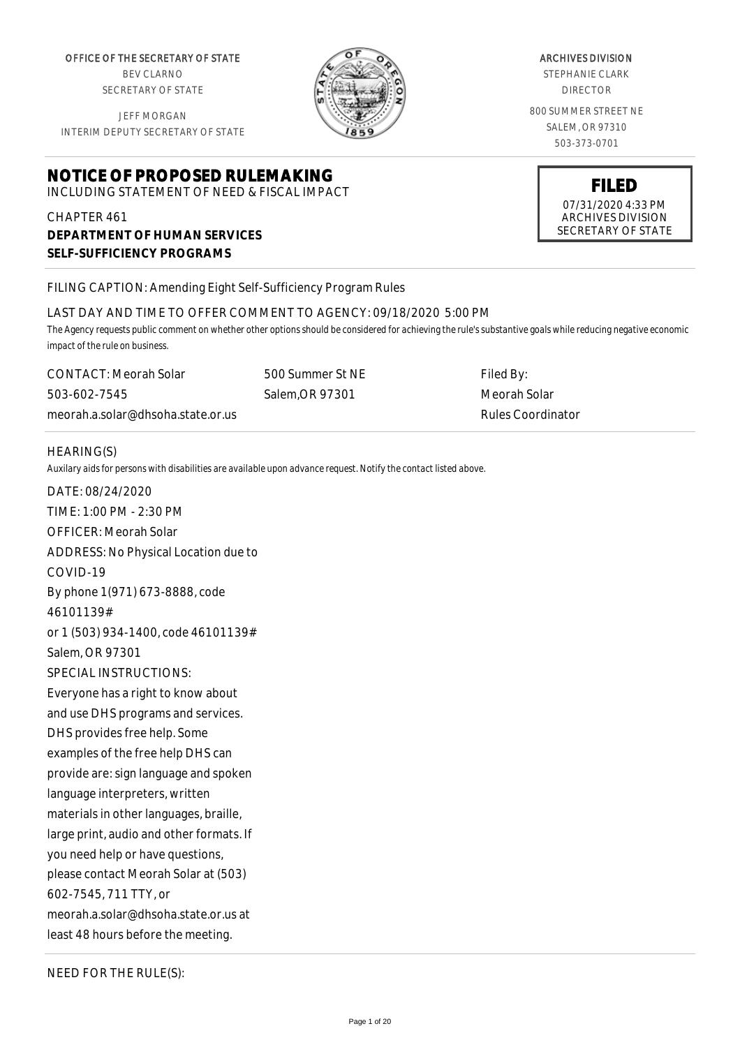OFFICE OF THE SECRETARY OF STATE BEV CLARNO

SECRETARY OF STATE

JEFF MORGAN INTERIM DEPUTY SECRETARY OF STATE

# **NOTICE OF PROPOSED RULEMAKING**

INCLUDING STATEMENT OF NEED & FISCAL IMPACT

# CHAPTER 461 **DEPARTMENT OF HUMAN SERVICES SELF-SUFFICIENCY PROGRAMS**

# FILING CAPTION: Amending Eight Self-Sufficiency Program Rules

#### LAST DAY AND TIME TO OFFER COMMENT TO AGENCY: 09/18/2020 5:00 PM

*The Agency requests public comment on whether other options should be considered for achieving the rule's substantive goals while reducing negative economic impact of the rule on business.*

CONTACT: Meorah Solar 503-602-7545 meorah.a.solar@dhsoha.state.or.us

HEARING(S)

*Auxilary aids for persons with disabilities are available upon advance request. Notify the contact listed above.*

DATE: 08/24/2020 TIME: 1:00 PM - 2:30 PM OFFICER: Meorah Solar ADDRESS: No Physical Location due to COVID-19 By phone 1(971) 673-8888, code 46101139# or 1 (503) 934-1400, code 46101139# Salem, OR 97301 SPECIAL INSTRUCTIONS: Everyone has a right to know about and use DHS programs and services. DHS provides free help. Some examples of the free help DHS can provide are: sign language and spoken language interpreters, written materials in other languages, braille, large print, audio and other formats. If you need help or have questions, please contact Meorah Solar at (503) 602-7545, 711 TTY, or meorah.a.solar@dhsoha.state.or.us at least 48 hours before the meeting.

NEED FOR THE RULE(S):



#### ARCHIVES DIVISION

STEPHANIE CLARK DIRECTOR

800 SUMMER STREET NE SALEM, OR 97310 503-373-0701

**FILED** 07/31/2020 4:33 PM ARCHIVES DIVISION

SECRETARY OF STATE

500 Summer St NE Salem,OR 97301

Filed By: Meorah Solar Rules Coordinator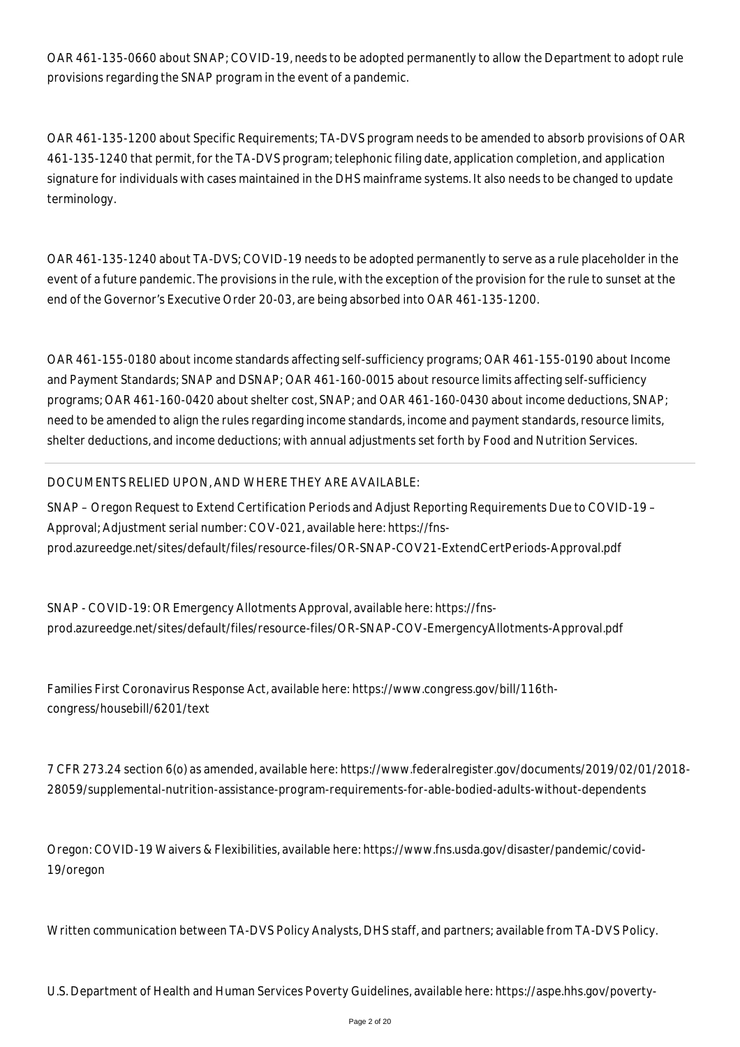OAR 461-135-0660 about SNAP; COVID-19, needs to be adopted permanently to allow the Department to adopt rule provisions regarding the SNAP program in the event of a pandemic.

OAR 461-135-1200 about Specific Requirements; TA-DVS program needs to be amended to absorb provisions of OAR 461-135-1240 that permit, for the TA-DVS program; telephonic filing date, application completion, and application signature for individuals with cases maintained in the DHS mainframe systems. It also needs to be changed to update terminology.

OAR 461-135-1240 about TA-DVS; COVID-19 needs to be adopted permanently to serve as a rule placeholder in the event of a future pandemic. The provisions in the rule, with the exception of the provision for the rule to sunset at the end of the Governor's Executive Order 20-03, are being absorbed into OAR 461-135-1200.

OAR 461-155-0180 about income standards affecting self-sufficiency programs; OAR 461-155-0190 about Income and Payment Standards; SNAP and DSNAP; OAR 461-160-0015 about resource limits affecting self-sufficiency programs; OAR 461-160-0420 about shelter cost, SNAP; and OAR 461-160-0430 about income deductions, SNAP; need to be amended to align the rules regarding income standards, income and payment standards, resource limits, shelter deductions, and income deductions; with annual adjustments set forth by Food and Nutrition Services.

#### DOCUMENTS RELIED UPON, AND WHERE THEY ARE AVAILABLE:

SNAP – Oregon Request to Extend Certification Periods and Adjust Reporting Requirements Due to COVID-19 – Approval; Adjustment serial number: COV-021, available here: https://fnsprod.azureedge.net/sites/default/files/resource-files/OR-SNAP-COV21-ExtendCertPeriods-Approval.pdf

SNAP - COVID-19: OR Emergency Allotments Approval, available here: https://fnsprod.azureedge.net/sites/default/files/resource-files/OR-SNAP-COV-EmergencyAllotments-Approval.pdf

Families First Coronavirus Response Act, available here: https://www.congress.gov/bill/116thcongress/housebill/6201/text

7 CFR 273.24 section 6(o) as amended, available here: https://www.federalregister.gov/documents/2019/02/01/2018- 28059/supplemental-nutrition-assistance-program-requirements-for-able-bodied-adults-without-dependents

Oregon: COVID-19 Waivers & Flexibilities, available here: https://www.fns.usda.gov/disaster/pandemic/covid-19/oregon

Written communication between TA-DVS Policy Analysts, DHS staff, and partners; available from TA-DVS Policy.

U.S. Department of Health and Human Services Poverty Guidelines, available here: https://aspe.hhs.gov/poverty-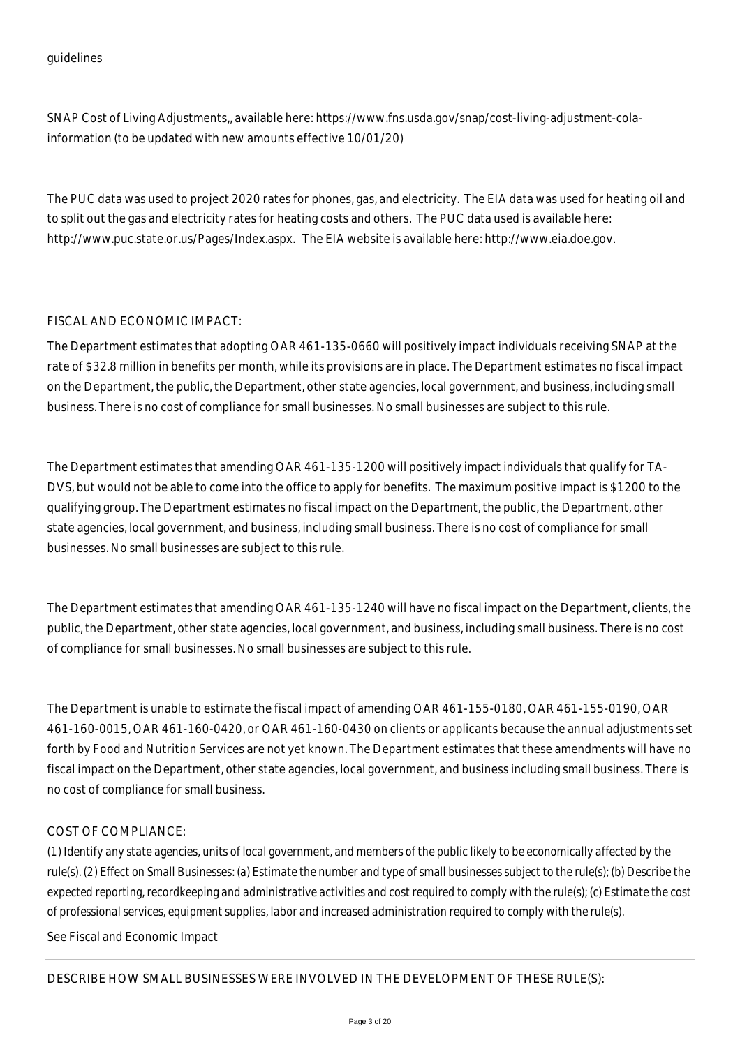SNAP Cost of Living Adjustments,, available here: https://www.fns.usda.gov/snap/cost-living-adjustment-colainformation (to be updated with new amounts effective 10/01/20)

The PUC data was used to project 2020 rates for phones, gas, and electricity. The EIA data was used for heating oil and to split out the gas and electricity rates for heating costs and others. The PUC data used is available here: http://www.puc.state.or.us/Pages/Index.aspx. The EIA website is available here: http://www.eia.doe.gov.

# FISCAL AND ECONOMIC IMPACT:

The Department estimates that adopting OAR 461-135-0660 will positively impact individuals receiving SNAP at the rate of \$32.8 million in benefits per month, while its provisions are in place. The Department estimates no fiscal impact on the Department, the public, the Department, other state agencies, local government, and business, including small business. There is no cost of compliance for small businesses. No small businesses are subject to this rule.

The Department estimates that amending OAR 461-135-1200 will positively impact individuals that qualify for TA-DVS, but would not be able to come into the office to apply for benefits. The maximum positive impact is \$1200 to the qualifying group. The Department estimates no fiscal impact on the Department, the public, the Department, other state agencies, local government, and business, including small business. There is no cost of compliance for small businesses. No small businesses are subject to this rule.

The Department estimates that amending OAR 461-135-1240 will have no fiscal impact on the Department, clients, the public, the Department, other state agencies, local government, and business, including small business. There is no cost of compliance for small businesses. No small businesses are subject to this rule.

The Department is unable to estimate the fiscal impact of amending OAR 461-155-0180, OAR 461-155-0190, OAR 461-160-0015, OAR 461-160-0420, or OAR 461-160-0430 on clients or applicants because the annual adjustments set forth by Food and Nutrition Services are not yet known. The Department estimates that these amendments will have no fiscal impact on the Department, other state agencies, local government, and business including small business. There is no cost of compliance for small business.

# COST OF COMPLIANCE:

*(1) Identify any state agencies, units of local government, and members of the public likely to be economically affected by the rule(s). (2) Effect on Small Businesses: (a) Estimate the number and type of small businesses subject to the rule(s); (b) Describe the expected reporting, recordkeeping and administrative activities and cost required to comply with the rule(s); (c) Estimate the cost of professional services, equipment supplies, labor and increased administration required to comply with the rule(s).*

See Fiscal and Economic Impact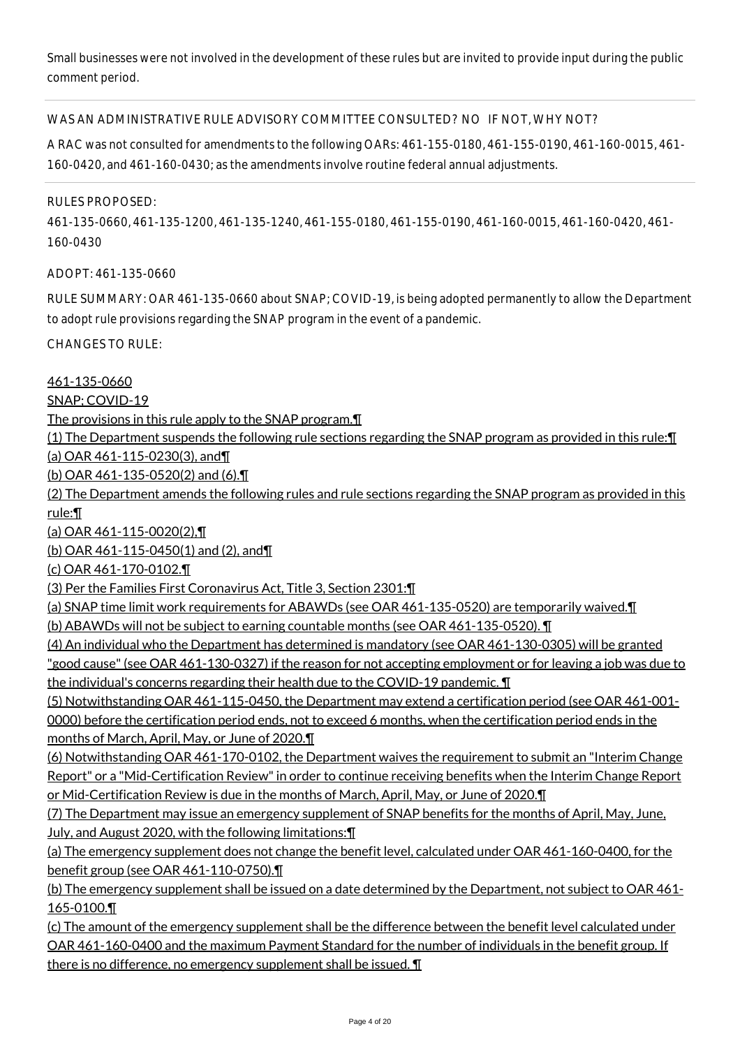Small businesses were not involved in the development of these rules but are invited to provide input during the public comment period.

#### WAS AN ADMINISTRATIVE RULE ADVISORY COMMITTEE CONSULTED? NO IF NOT, WHY NOT?

A RAC was not consulted for amendments to the following OARs: 461-155-0180, 461-155-0190, 461-160-0015, 461- 160-0420, and 461-160-0430; as the amendments involve routine federal annual adjustments.

#### RULES PROPOSED:

461-135-0660, 461-135-1200, 461-135-1240, 461-155-0180, 461-155-0190, 461-160-0015, 461-160-0420, 461- 160-0430

ADOPT: 461-135-0660

RULE SUMMARY: OAR 461-135-0660 about SNAP; COVID-19, is being adopted permanently to allow the Department to adopt rule provisions regarding the SNAP program in the event of a pandemic.

CHANGES TO RULE:

461-135-0660

SNAP; COVID-19

The provisions in this rule apply to the SNAP program.¶

(1) The Department suspends the following rule sections regarding the SNAP program as provided in this rule:¶ (a) OAR 461-115-0230(3), and¶

(b) OAR 461-135-0520(2) and (6).¶

(2) The Department amends the following rules and rule sections regarding the SNAP program as provided in this rule:¶

(a) OAR 461-115-0020(2),¶

(b) OAR 461-115-0450(1) and (2), and¶

(c) OAR 461-170-0102.¶

(3) Per the Families First Coronavirus Act, Title 3, Section 2301:¶

(a) SNAP time limit work requirements for ABAWDs (see OAR 461-135-0520) are temporarily waived.¶ (b) ABAWDs will not be subject to earning countable months (see OAR 461-135-0520). ¶

(4) An individual who the Department has determined is mandatory (see OAR 461-130-0305) will be granted "good cause" (see OAR 461-130-0327) if the reason for not accepting employment or for leaving a job was due to the individual's concerns regarding their health due to the COVID-19 pandemic. ¶

(5) Notwithstanding OAR 461-115-0450, the Department may extend a certification period (see OAR 461-001- 0000) before the certification period ends, not to exceed 6 months, when the certification period ends in the months of March, April, May, or June of 2020.¶

(6) Notwithstanding OAR 461-170-0102, the Department waives the requirement to submit an "Interim Change Report" or a "Mid-Certification Review" in order to continue receiving benefits when the Interim Change Report or Mid-Certification Review is due in the months of March, April, May, or June of 2020.¶

(7) The Department may issue an emergency supplement of SNAP benefits for the months of April, May, June, July, and August 2020, with the following limitations:¶

(a) The emergency supplement does not change the benefit level, calculated under OAR 461-160-0400, for the benefit group (see OAR 461-110-0750).¶

(b) The emergency supplement shall be issued on a date determined by the Department, not subject to OAR 461-165-0100.¶

(c) The amount of the emergency supplement shall be the difference between the benefit level calculated under OAR 461-160-0400 and the maximum Payment Standard for the number of individuals in the benefit group. If there is no difference, no emergency supplement shall be issued. ¶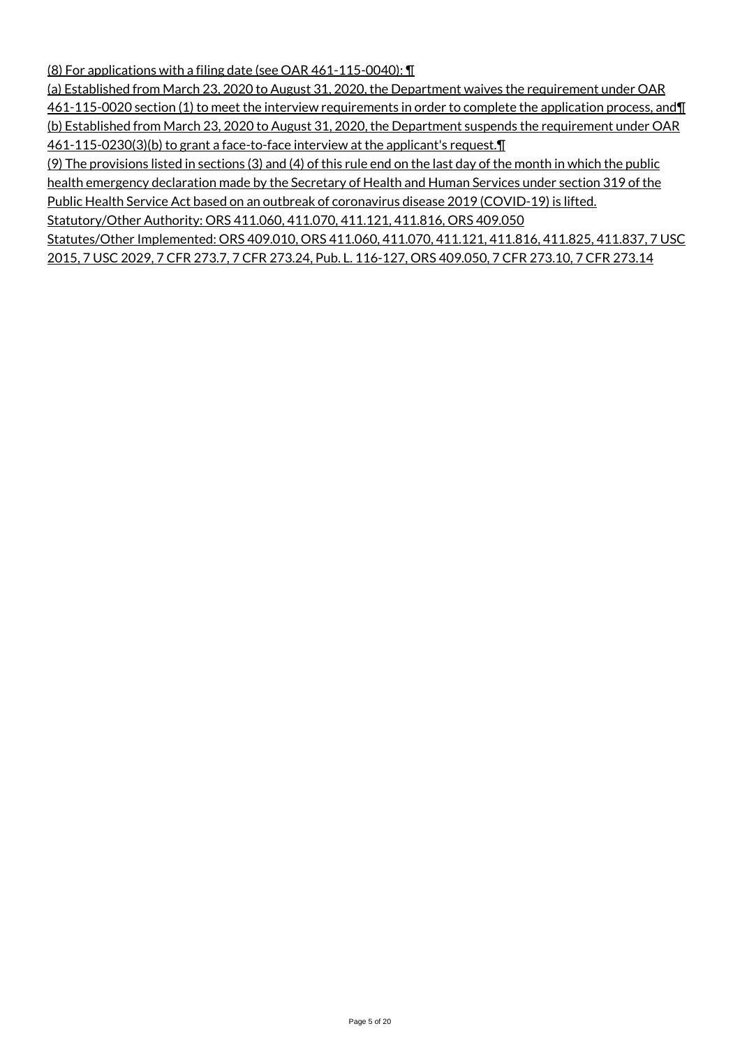(8) For applications with a filing date (see OAR 461-115-0040): ¶

(a) Established from March 23, 2020 to August 31, 2020, the Department waives the requirement under OAR 461-115-0020 section (1) to meet the interview requirements in order to complete the application process, and¶ (b) Established from March 23, 2020 to August 31, 2020, the Department suspends the requirement under OAR 461-115-0230(3)(b) to grant a face-to-face interview at the applicant's request.¶

(9) The provisions listed in sections (3) and (4) of this rule end on the last day of the month in which the public health emergency declaration made by the Secretary of Health and Human Services under section 319 of the Public Health Service Act based on an outbreak of coronavirus disease 2019 (COVID-19) is lifted.

Statutory/Other Authority: ORS 411.060, 411.070, 411.121, 411.816, ORS 409.050

Statutes/Other Implemented: ORS 409.010, ORS 411.060, 411.070, 411.121, 411.816, 411.825, 411.837, 7 USC 2015, 7 USC 2029, 7 CFR 273.7, 7 CFR 273.24, Pub. L. 116-127, ORS 409.050, 7 CFR 273.10, 7 CFR 273.14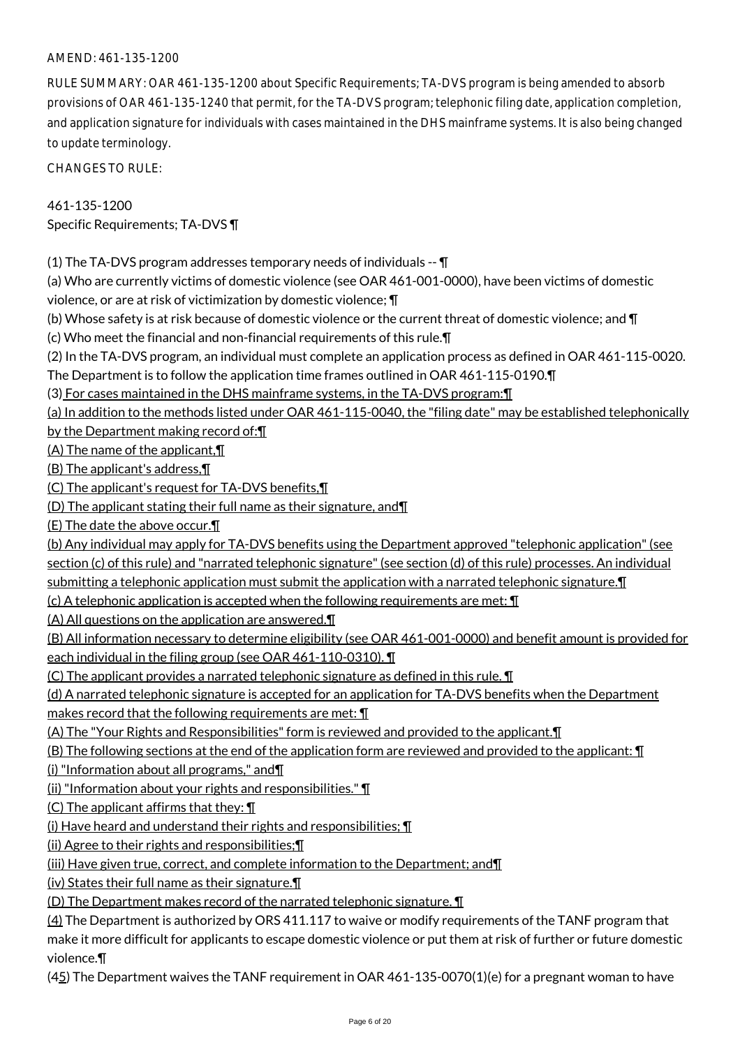# AMEND: 461-135-1200

RULE SUMMARY: OAR 461-135-1200 about Specific Requirements; TA-DVS program is being amended to absorb provisions of OAR 461-135-1240 that permit, for the TA-DVS program; telephonic filing date, application completion, and application signature for individuals with cases maintained in the DHS mainframe systems. It is also being changed to update terminology.

CHANGES TO RULE:

461-135-1200 Specific Requirements; TA-DVS ¶

(1) The TA-DVS program addresses temporary needs of individuals -- ¶

(a) Who are currently victims of domestic violence (see OAR 461-001-0000), have been victims of domestic violence, or are at risk of victimization by domestic violence; ¶

(b) Whose safety is at risk because of domestic violence or the current threat of domestic violence; and  $\P$ 

(c) Who meet the financial and non-financial requirements of this rule.¶

(2) In the TA-DVS program, an individual must complete an application process as defined in OAR 461-115-0020.

The Department is to follow the application time frames outlined in OAR 461-115-0190.¶

(3) For cases maintained in the DHS mainframe systems, in the TA-DVS program:¶

(a) In addition to the methods listed under OAR 461-115-0040, the "filing date" may be established telephonically by the Department making record of:¶

(A) The name of the applicant,¶

(B) The applicant's address,¶

(C) The applicant's request for TA-DVS benefits,¶

(D) The applicant stating their full name as their signature, and¶

(E) The date the above occur.¶

(b) Any individual may apply for TA-DVS benefits using the Department approved "telephonic application" (see section (c) of this rule) and "narrated telephonic signature" (see section (d) of this rule) processes. An individual submitting a telephonic application must submit the application with a narrated telephonic signature.¶

(c) A telephonic application is accepted when the following requirements are met: ¶

(A) All questions on the application are answered.¶

(B) All information necessary to determine eligibility (see OAR 461-001-0000) and benefit amount is provided for each individual in the filing group (see OAR 461-110-0310). ¶

(C) The applicant provides a narrated telephonic signature as defined in this rule. ¶

(d) A narrated telephonic signature is accepted for an application for TA-DVS benefits when the Department makes record that the following requirements are met: ¶

(A) The "Your Rights and Responsibilities" form is reviewed and provided to the applicant.¶

(B) The following sections at the end of the application form are reviewed and provided to the applicant: ¶

(i) "Information about all programs," and¶

(ii) "Information about your rights and responsibilities." ¶

 $(C)$  The applicant affirms that they:  $\P$ 

(i) Have heard and understand their rights and responsibilities; ¶

(ii) Agree to their rights and responsibilities;¶

(iii) Have given true, correct, and complete information to the Department; and¶

(iv) States their full name as their signature.¶

(D) The Department makes record of the narrated telephonic signature. ¶

(4) The Department is authorized by ORS 411.117 to waive or modify requirements of the TANF program that make it more difficult for applicants to escape domestic violence or put them at risk of further or future domestic violence.¶

 $(45)$  The Department waives the TANF requirement in OAR 461-135-0070(1)(e) for a pregnant woman to have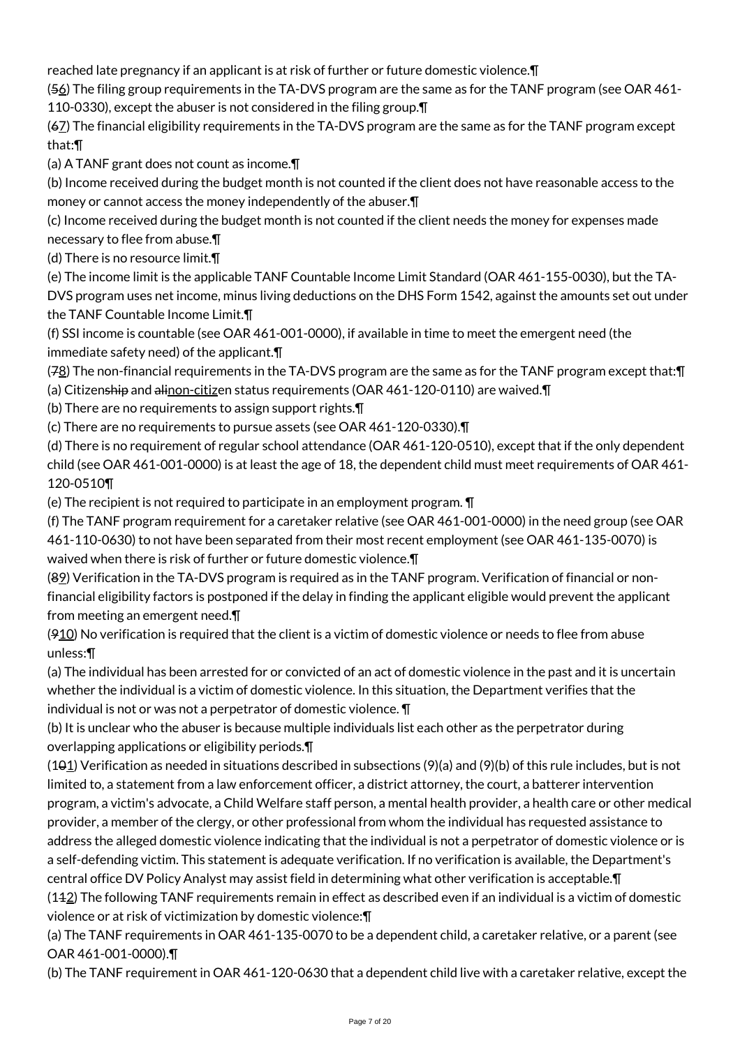reached late pregnancy if an applicant is at risk of further or future domestic violence.¶

(56) The filing group requirements in the TA-DVS program are the same as for the TANF program (see OAR 461- 110-0330), except the abuser is not considered in the filing group.¶

(67) The financial eligibility requirements in the TA-DVS program are the same as for the TANF program except that:¶

(a) A TANF grant does not count as income.¶

(b) Income received during the budget month is not counted if the client does not have reasonable access to the money or cannot access the money independently of the abuser.¶

(c) Income received during the budget month is not counted if the client needs the money for expenses made necessary to flee from abuse.¶

(d) There is no resource limit.¶

(e) The income limit is the applicable TANF Countable Income Limit Standard (OAR 461-155-0030), but the TA-

DVS program uses net income, minus living deductions on the DHS Form 1542, against the amounts set out under the TANF Countable Income Limit.¶

(f) SSI income is countable (see OAR 461-001-0000), if available in time to meet the emergent need (the immediate safety need) of the applicant.¶

(78) The non-financial requirements in the TA-DVS program are the same as for the TANF program except that:¶ (a) Citizenship and alinon-citizen status requirements (OAR 461-120-0110) are waived.¶

(b) There are no requirements to assign support rights.¶

(c) There are no requirements to pursue assets (see OAR 461-120-0330).¶

(d) There is no requirement of regular school attendance (OAR 461-120-0510), except that if the only dependent child (see OAR 461-001-0000) is at least the age of 18, the dependent child must meet requirements of OAR 461- 120-0510¶

(e) The recipient is not required to participate in an employment program. ¶

(f) The TANF program requirement for a caretaker relative (see OAR 461-001-0000) in the need group (see OAR 461-110-0630) to not have been separated from their most recent employment (see OAR 461-135-0070) is waived when there is risk of further or future domestic violence.¶

(89) Verification in the TA-DVS program is required as in the TANF program. Verification of financial or nonfinancial eligibility factors is postponed if the delay in finding the applicant eligible would prevent the applicant from meeting an emergent need.¶

(910) No verification is required that the client is a victim of domestic violence or needs to flee from abuse unless:¶

(a) The individual has been arrested for or convicted of an act of domestic violence in the past and it is uncertain whether the individual is a victim of domestic violence. In this situation, the Department verifies that the individual is not or was not a perpetrator of domestic violence. ¶

(b) It is unclear who the abuser is because multiple individuals list each other as the perpetrator during overlapping applications or eligibility periods.¶

 $(101)$  Verification as needed in situations described in subsections  $(9)(a)$  and  $(9)(b)$  of this rule includes, but is not limited to, a statement from a law enforcement officer, a district attorney, the court, a batterer intervention program, a victim's advocate, a Child Welfare staff person, a mental health provider, a health care or other medical provider, a member of the clergy, or other professional from whom the individual has requested assistance to address the alleged domestic violence indicating that the individual is not a perpetrator of domestic violence or is a self-defending victim. This statement is adequate verification. If no verification is available, the Department's central office DV Policy Analyst may assist field in determining what other verification is acceptable.¶

(112) The following TANF requirements remain in effect as described even if an individual is a victim of domestic violence or at risk of victimization by domestic violence:¶

(a) The TANF requirements in OAR 461-135-0070 to be a dependent child, a caretaker relative, or a parent (see OAR 461-001-0000).¶

(b) The TANF requirement in OAR 461-120-0630 that a dependent child live with a caretaker relative, except the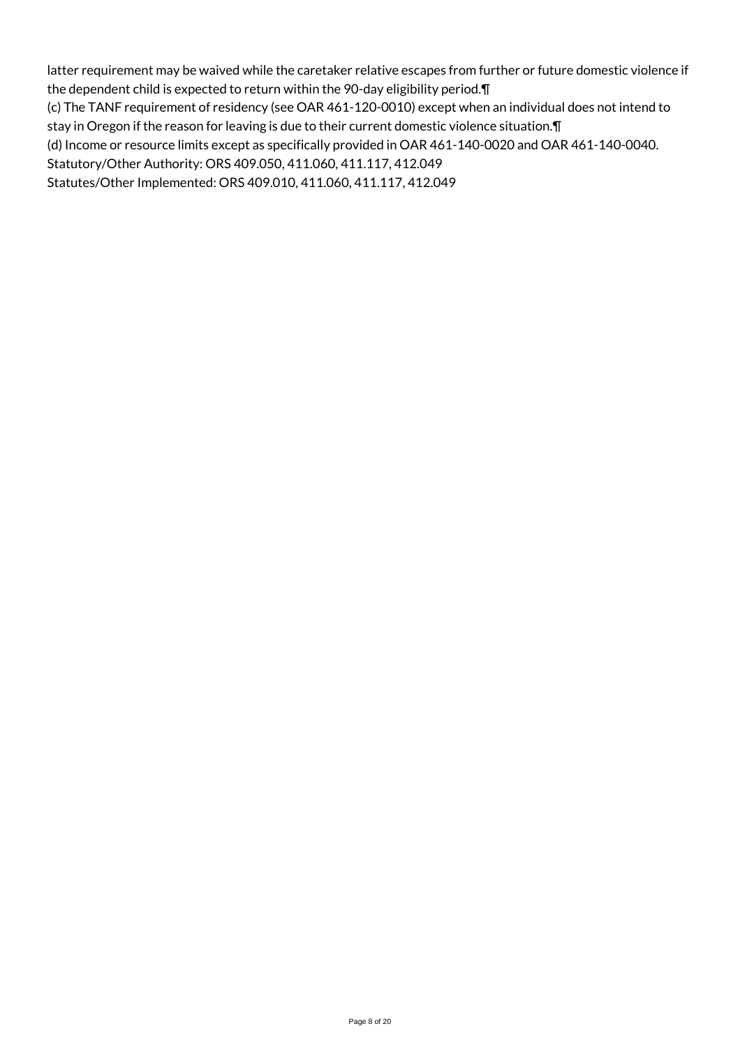latter requirement may be waived while the caretaker relative escapes from further or future domestic violence if the dependent child is expected to return within the 90-day eligibility period.¶ (c) The TANF requirement of residency (see OAR 461-120-0010) except when an individual does not intend to stay in Oregon if the reason for leaving is due to their current domestic violence situation.¶ (d) Income or resource limits except as specifically provided in OAR 461-140-0020 and OAR 461-140-0040. Statutory/Other Authority: ORS 409.050, 411.060, 411.117, 412.049 Statutes/Other Implemented: ORS 409.010, 411.060, 411.117, 412.049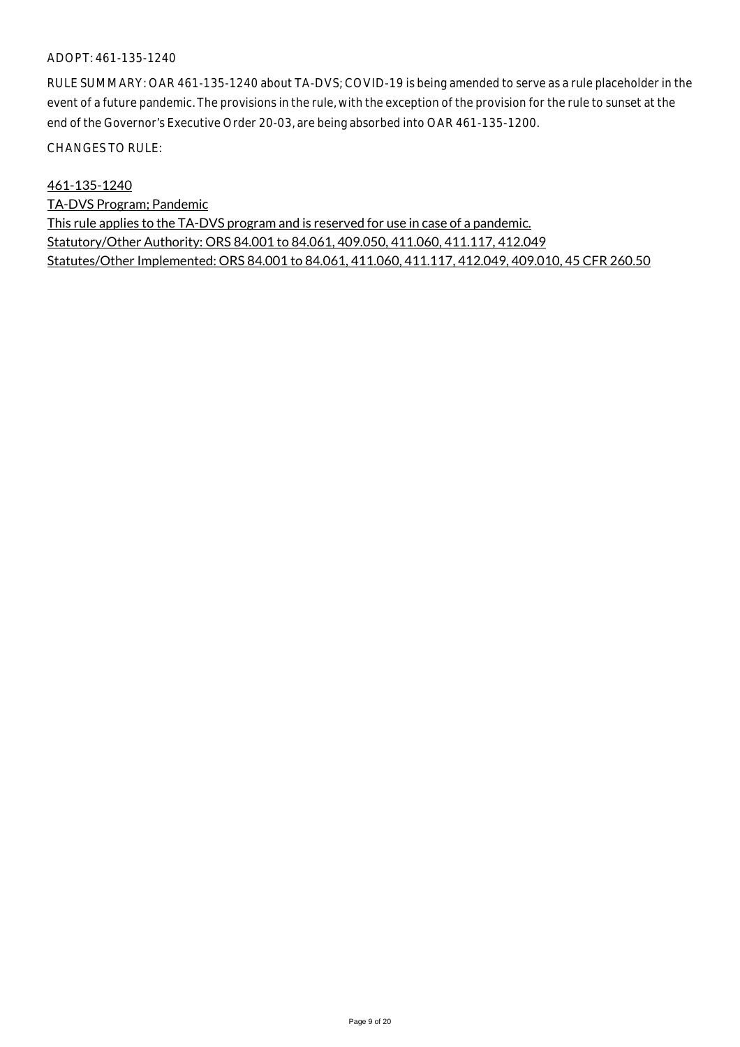#### ADOPT: 461-135-1240

RULE SUMMARY: OAR 461-135-1240 about TA-DVS; COVID-19 is being amended to serve as a rule placeholder in the event of a future pandemic. The provisions in the rule, with the exception of the provision for the rule to sunset at the end of the Governor's Executive Order 20-03, are being absorbed into OAR 461-135-1200.

CHANGES TO RULE:

461-135-1240

TA-DVS Program; Pandemic This rule applies to the TA-DVS program and is reserved for use in case of a pandemic. Statutory/Other Authority: ORS 84.001 to 84.061, 409.050, 411.060, 411.117, 412.049 Statutes/Other Implemented: ORS 84.001 to 84.061, 411.060, 411.117, 412.049, 409.010, 45 CFR 260.50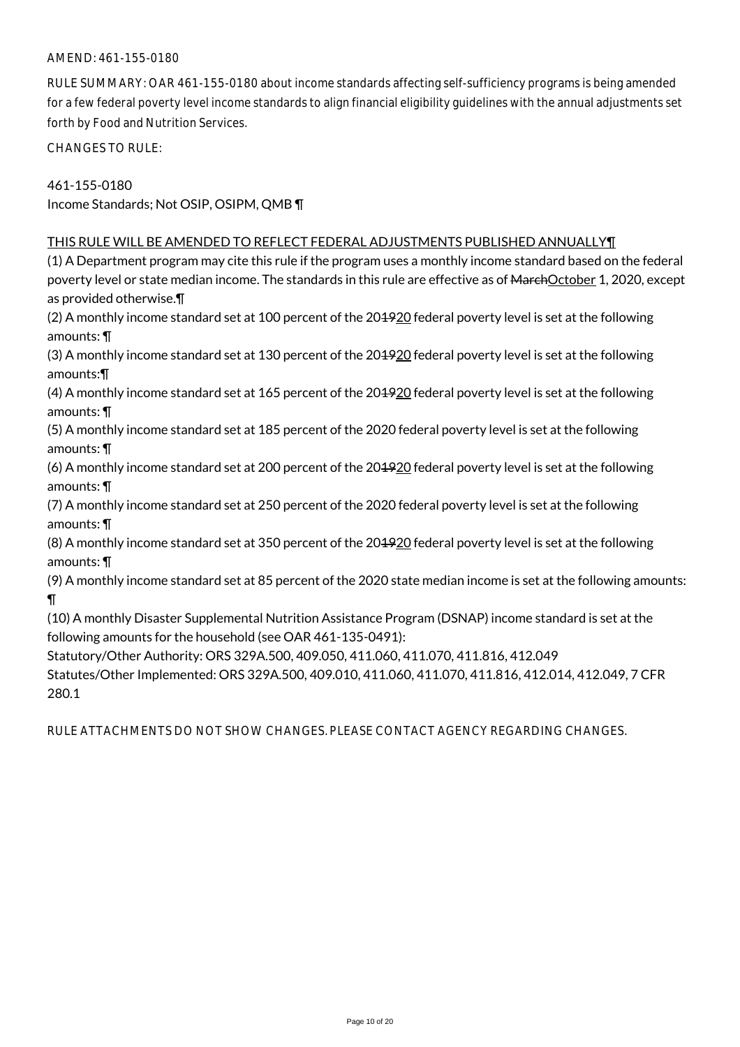# AMEND: 461-155-0180

RULE SUMMARY: OAR 461-155-0180 about income standards affecting self-sufficiency programs is being amended for a few federal poverty level income standards to align financial eligibility guidelines with the annual adjustments set forth by Food and Nutrition Services.

CHANGES TO RULE:

461-155-0180 Income Standards; Not OSIP, OSIPM, QMB ¶

#### THIS RULE WILL BE AMENDED TO REFLECT FEDERAL ADJUSTMENTS PUBLISHED ANNUALLY¶

(1) A Department program may cite this rule if the program uses a monthly income standard based on the federal poverty level or state median income. The standards in this rule are effective as of MarchOctober 1, 2020, except as provided otherwise.¶

(2) A monthly income standard set at 100 percent of the 201920 federal poverty level is set at the following amounts: ¶

(3) A monthly income standard set at 130 percent of the 201920 federal poverty level is set at the following amounts:¶

(4) A monthly income standard set at 165 percent of the 201920 federal poverty level is set at the following amounts: ¶

(5) A monthly income standard set at 185 percent of the 2020 federal poverty level is set at the following amounts: ¶

(6) A monthly income standard set at 200 percent of the 201920 federal poverty level is set at the following amounts: ¶

(7) A monthly income standard set at 250 percent of the 2020 federal poverty level is set at the following amounts: ¶

(8) A monthly income standard set at 350 percent of the 201920 federal poverty level is set at the following amounts: ¶

(9) A monthly income standard set at 85 percent of the 2020 state median income is set at the following amounts: ¶

(10) A monthly Disaster Supplemental Nutrition Assistance Program (DSNAP) income standard is set at the following amounts for the household (see OAR 461-135-0491):

Statutory/Other Authority: ORS 329A.500, 409.050, 411.060, 411.070, 411.816, 412.049 Statutes/Other Implemented: ORS 329A.500, 409.010, 411.060, 411.070, 411.816, 412.014, 412.049, 7 CFR 280.1

RULE ATTACHMENTS DO NOT SHOW CHANGES. PLEASE CONTACT AGENCY REGARDING CHANGES.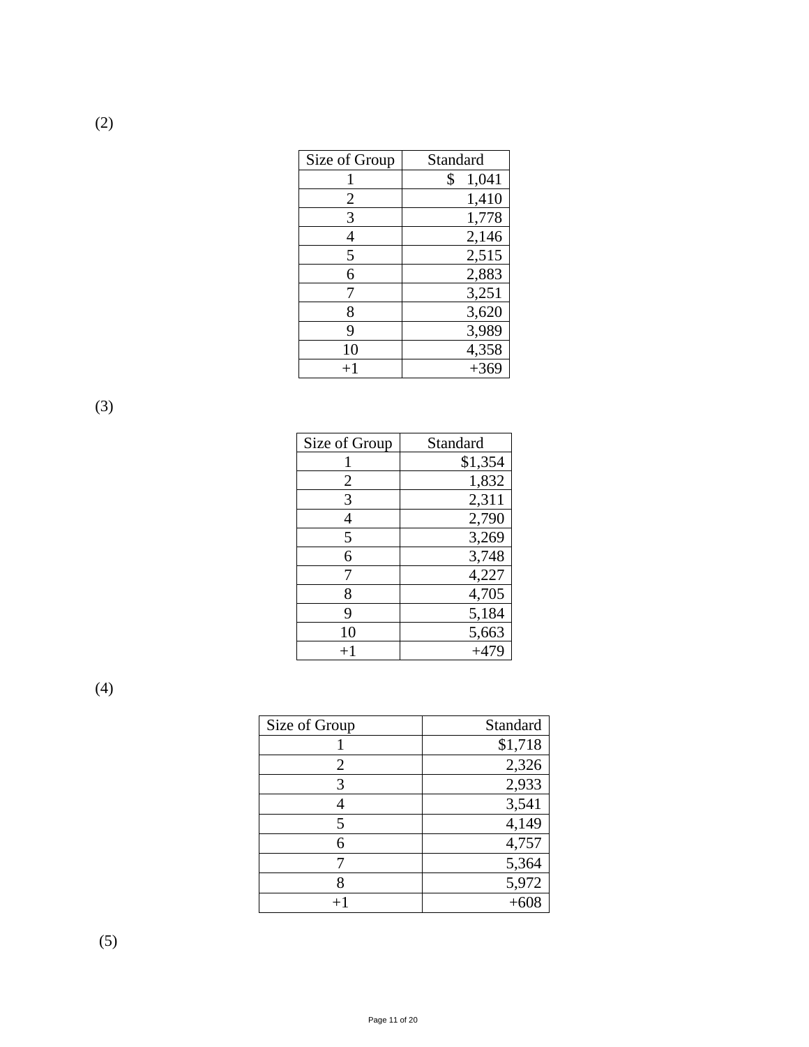| Size of Group  | Standard    |
|----------------|-------------|
|                | \$<br>1,041 |
| $\overline{2}$ | 1,410       |
| 3              | 1,778       |
| 4              | 2,146       |
| 5              | 2,515       |
| 6              | 2,883       |
| 7              | 3,251       |
| 8              | 3,620       |
| 9              | 3,989       |
| 10             | 4,358       |
| $+1$           | $+369$      |

(3)

(2)

| Size of Group | Standard |
|---------------|----------|
|               | \$1,354  |
| 2             | 1,832    |
| 3             | 2,311    |
| 4             | 2,790    |
| 5             | 3,269    |
| 6             | 3,748    |
| 7             | 4,227    |
| 8             | 4,705    |
| 9             | 5,184    |
| 10            | 5,663    |
| $^{+1}$       | $+479$   |

(4)

| Size of Group | Standard |
|---------------|----------|
|               | \$1,718  |
| 2             | 2,326    |
| 3             | 2,933    |
|               | 3,541    |
| 5             | 4,149    |
| 6             | 4,757    |
|               | 5,364    |
|               | 5,972    |
|               |          |

(5)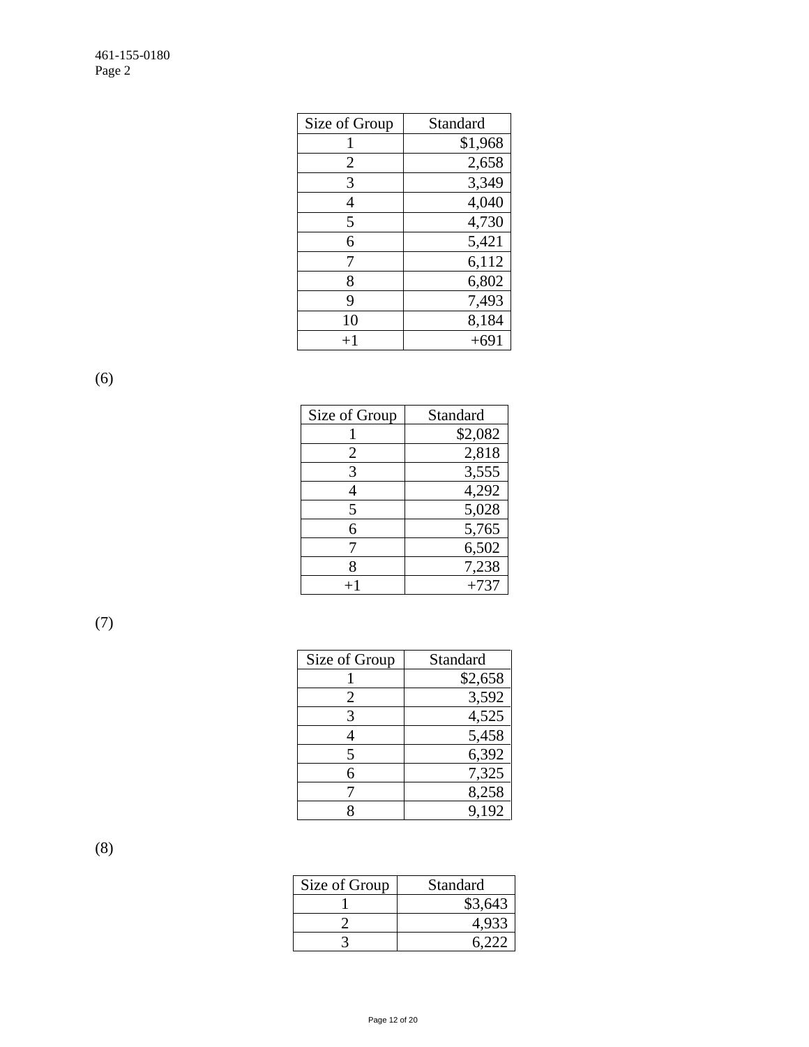| Size of Group | Standard |
|---------------|----------|
|               | \$1,968  |
| 2             | 2,658    |
| 3             | 3,349    |
| 4             | 4,040    |
| 5             | 4,730    |
| 6             | 5,421    |
| 7             | 6,112    |
| 8             | 6,802    |
| 9             | 7,493    |
| 10            | 8,184    |
| $+1$          | $+691$   |

(6)

| Size of Group | Standard |
|---------------|----------|
|               | \$2,082  |
| 2             | 2,818    |
| 3             | 3,555    |
|               | 4,292    |
| 5             | 5,028    |
| 6             | 5,765    |
|               | 6,502    |
| 8             | 7,238    |
|               | $+737$   |

(7)

| Size of Group | Standard |
|---------------|----------|
|               | \$2,658  |
| 2             | 3,592    |
| 3             | 4,525    |
|               | 5,458    |
| 5             | 6,392    |
| 6             | 7,325    |
|               | 8,258    |
|               | 9,192    |

(8)

| Size of Group | Standard |
|---------------|----------|
|               | \$3,643  |
|               |          |
|               |          |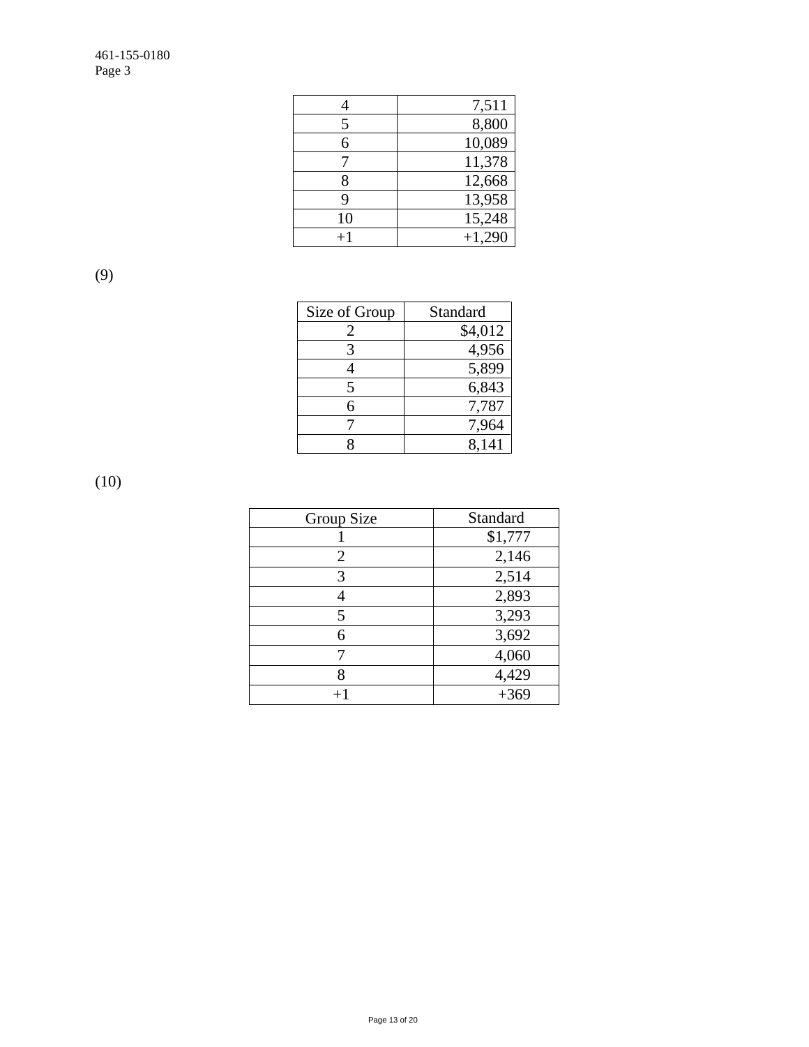|         | 7,511    |
|---------|----------|
| 5       | 8,800    |
| 6       | 10,089   |
|         | 11,378   |
| 8       | 12,668   |
| 9       | 13,958   |
| 10      | 15,248   |
| $^{+1}$ | $+1,290$ |

(9)

| Size of Group               | Standard |
|-----------------------------|----------|
| $\mathcal{D}_{\mathcal{A}}$ | \$4,012  |
|                             | 4,956    |
|                             | 5,899    |
| 5                           | 6,843    |
| 6                           | 7,787    |
|                             | 7,964    |
|                             | 8,141    |

(10)

| Group Size     | Standard |
|----------------|----------|
|                | \$1,777  |
| $\overline{2}$ | 2,146    |
| 3              | 2,514    |
| 4              | 2,893    |
| 5              | 3,293    |
| 6              | 3,692    |
|                | 4,060    |
| 8              | 4,429    |
|                | $+369$   |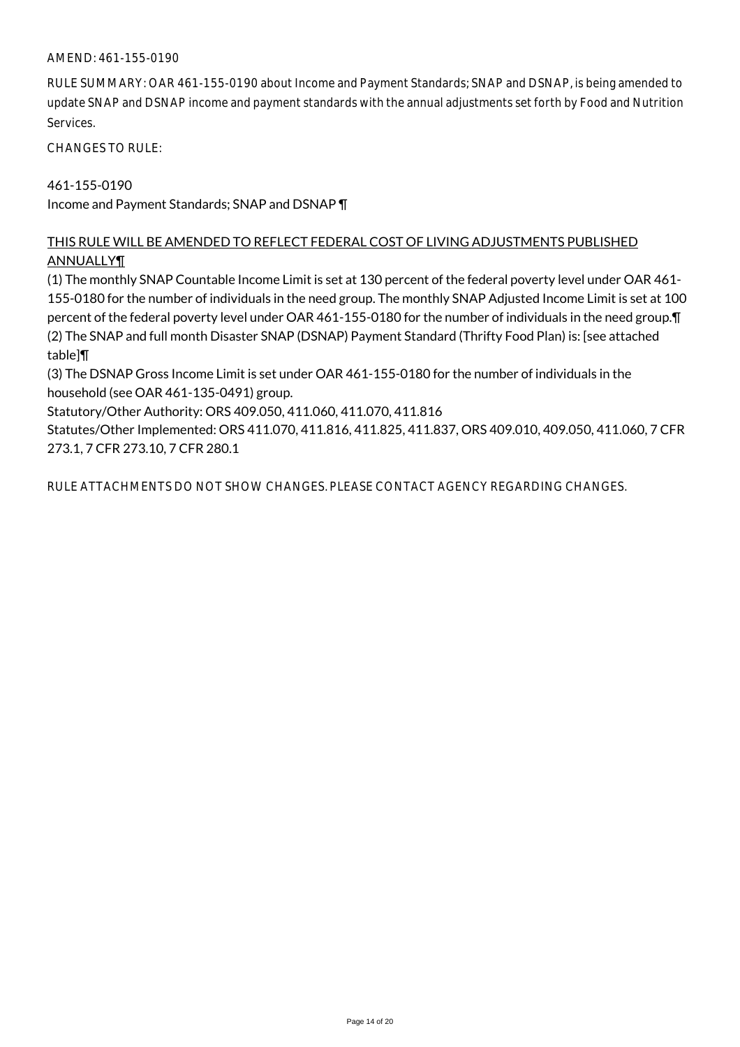#### AMEND: 461-155-0190

RULE SUMMARY: OAR 461-155-0190 about Income and Payment Standards; SNAP and DSNAP, is being amended to update SNAP and DSNAP income and payment standards with the annual adjustments set forth by Food and Nutrition Services.

CHANGES TO RULE:

# 461-155-0190

Income and Payment Standards; SNAP and DSNAP ¶

# THIS RULE WILL BE AMENDED TO REFLECT FEDERAL COST OF LIVING ADJUSTMENTS PUBLISHED ANNUALLY¶

(1) The monthly SNAP Countable Income Limit is set at 130 percent of the federal poverty level under OAR 461- 155-0180 for the number of individuals in the need group. The monthly SNAP Adjusted Income Limit is set at 100 percent of the federal poverty level under OAR 461-155-0180 for the number of individuals in the need group.¶ (2) The SNAP and full month Disaster SNAP (DSNAP) Payment Standard (Thrifty Food Plan) is: [see attached table]¶

(3) The DSNAP Gross Income Limit is set under OAR 461-155-0180 for the number of individuals in the household (see OAR 461-135-0491) group.

Statutory/Other Authority: ORS 409.050, 411.060, 411.070, 411.816

Statutes/Other Implemented: ORS 411.070, 411.816, 411.825, 411.837, ORS 409.010, 409.050, 411.060, 7 CFR 273.1, 7 CFR 273.10, 7 CFR 280.1

RULE ATTACHMENTS DO NOT SHOW CHANGES. PLEASE CONTACT AGENCY REGARDING CHANGES.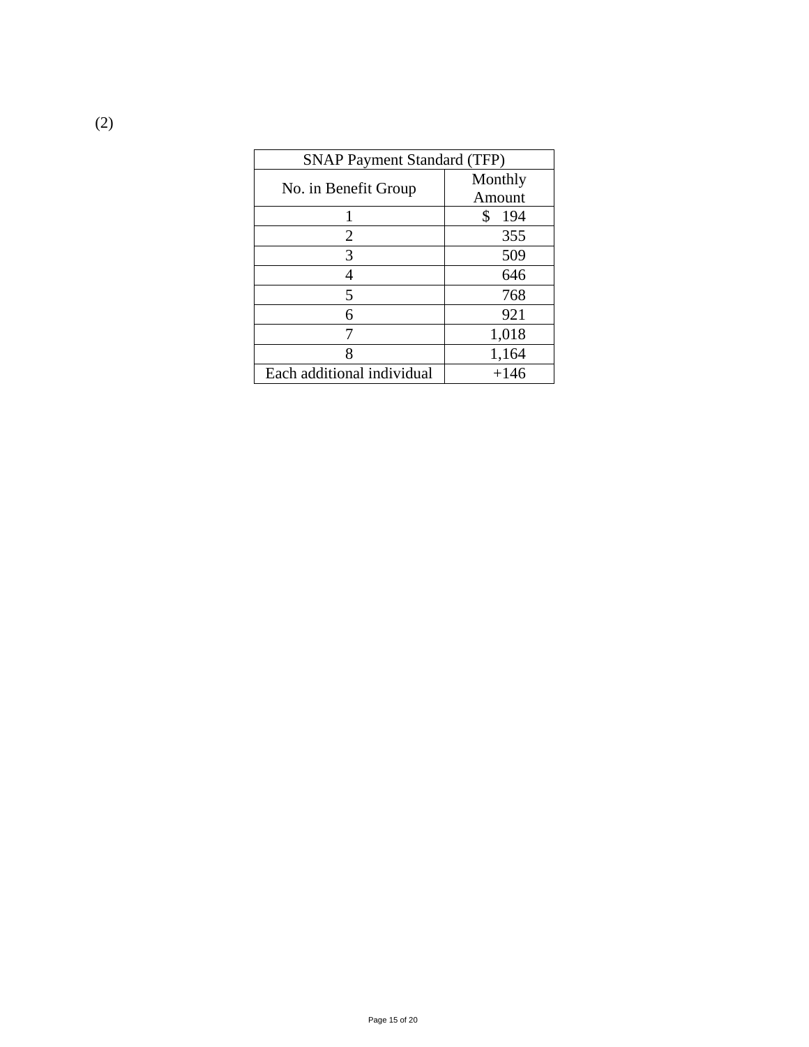| <b>SNAP Payment Standard (TFP)</b> |           |
|------------------------------------|-----------|
|                                    | Monthly   |
| No. in Benefit Group               | Amount    |
|                                    | \$<br>194 |
| 2                                  | 355       |
| 3                                  | 509       |
| 4                                  | 646       |
| 5                                  | 768       |
| 6                                  | 921       |
|                                    | 1,018     |
| 8                                  | 1,164     |
| Each additional individual         | $+146$    |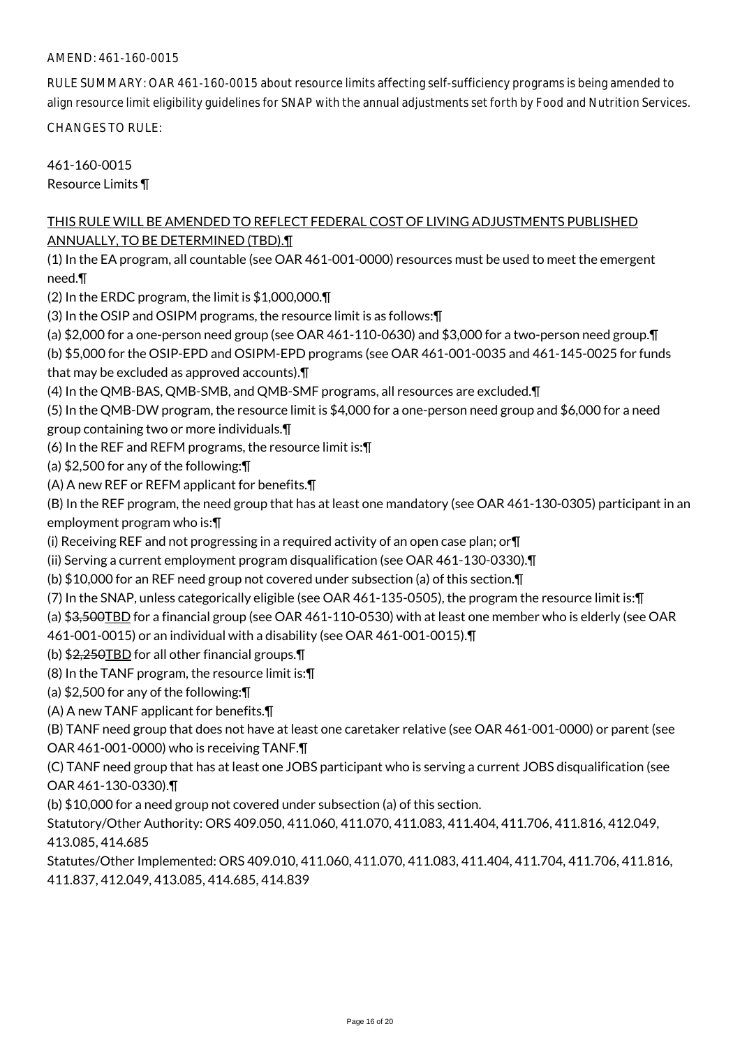#### AMEND: 461-160-0015

RULE SUMMARY: OAR 461-160-0015 about resource limits affecting self-sufficiency programs is being amended to align resource limit eligibility guidelines for SNAP with the annual adjustments set forth by Food and Nutrition Services.

CHANGES TO RULE:

461-160-0015 Resource Limits ¶

# THIS RULE WILL BE AMENDED TO REFLECT FEDERAL COST OF LIVING ADJUSTMENTS PUBLISHED ANNUALLY, TO BE DETERMINED (TBD).¶

(1) In the EA program, all countable (see OAR 461-001-0000) resources must be used to meet the emergent need.¶

(2) In the ERDC program, the limit is \$1,000,000.¶

(3) In the OSIP and OSIPM programs, the resource limit is as follows:¶

(a) \$2,000 for a one-person need group (see OAR 461-110-0630) and \$3,000 for a two-person need group.¶

(b) \$5,000 for the OSIP-EPD and OSIPM-EPD programs (see OAR 461-001-0035 and 461-145-0025 for funds that may be excluded as approved accounts).¶

(4) In the QMB-BAS, QMB-SMB, and QMB-SMF programs, all resources are excluded.¶

(5) In the QMB-DW program, the resource limit is \$4,000 for a one-person need group and \$6,000 for a need group containing two or more individuals.¶

(6) In the REF and REFM programs, the resource limit is:¶

(a) \$2,500 for any of the following:¶

(A) A new REF or REFM applicant for benefits.¶

(B) In the REF program, the need group that has at least one mandatory (see OAR 461-130-0305) participant in an employment program who is:¶

(i) Receiving REF and not progressing in a required activity of an open case plan; or¶

(ii) Serving a current employment program disqualification (see OAR 461-130-0330).¶

(b) \$10,000 for an REF need group not covered under subsection (a) of this section.¶

(7) In the SNAP, unless categorically eligible (see OAR 461-135-0505), the program the resource limit is:¶

(a) \$3,500TBD for a financial group (see OAR 461-110-0530) with at least one member who is elderly (see OAR

461-001-0015) or an individual with a disability (see OAR 461-001-0015).¶

(b) \$2,250TBD for all other financial groups.¶

(8) In the TANF program, the resource limit is:¶

(a) \$2,500 for any of the following:¶

(A) A new TANF applicant for benefits.¶

(B) TANF need group that does not have at least one caretaker relative (see OAR 461-001-0000) or parent (see OAR 461-001-0000) who is receiving TANF.¶

(C) TANF need group that has at least one JOBS participant who is serving a current JOBS disqualification (see OAR 461-130-0330).¶

(b) \$10,000 for a need group not covered under subsection (a) of this section.

Statutory/Other Authority: ORS 409.050, 411.060, 411.070, 411.083, 411.404, 411.706, 411.816, 412.049, 413.085, 414.685

Statutes/Other Implemented: ORS 409.010, 411.060, 411.070, 411.083, 411.404, 411.704, 411.706, 411.816, 411.837, 412.049, 413.085, 414.685, 414.839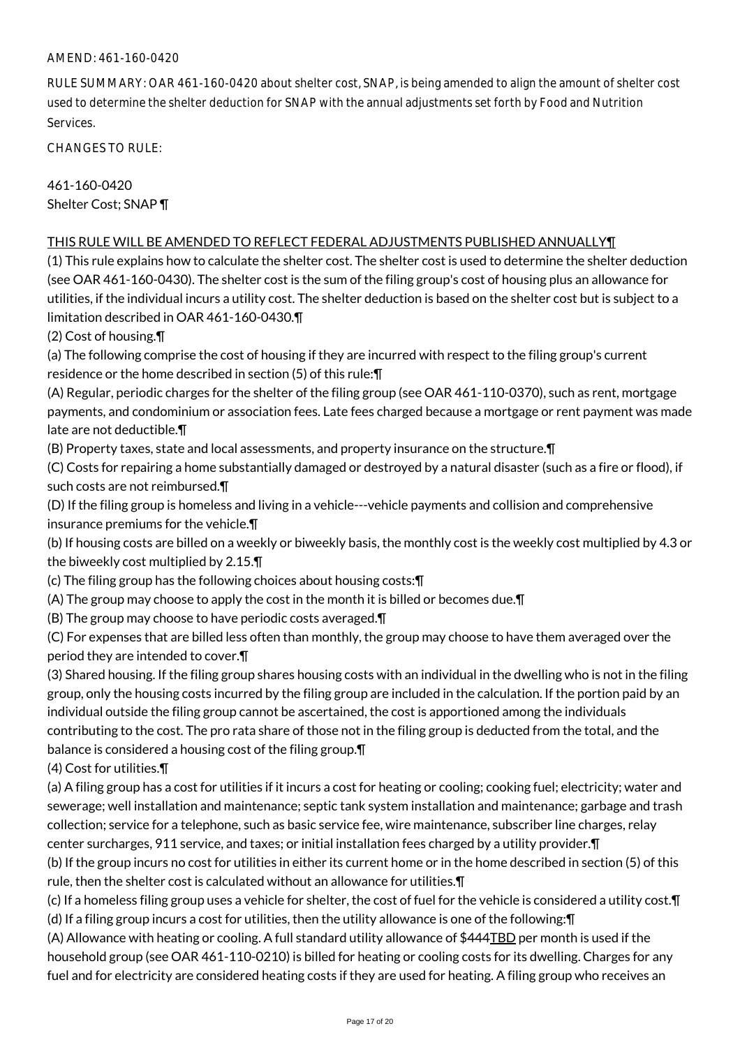# AMEND: 461-160-0420

RULE SUMMARY: OAR 461-160-0420 about shelter cost, SNAP, is being amended to align the amount of shelter cost used to determine the shelter deduction for SNAP with the annual adjustments set forth by Food and Nutrition Services.

CHANGES TO RULE:

461-160-0420 Shelter Cost; SNAP ¶

#### THIS RULE WILL BE AMENDED TO REFLECT FEDERAL ADJUSTMENTS PUBLISHED ANNUALLY¶

(1) This rule explains how to calculate the shelter cost. The shelter cost is used to determine the shelter deduction (see OAR 461-160-0430). The shelter cost is the sum of the filing group's cost of housing plus an allowance for utilities, if the individual incurs a utility cost. The shelter deduction is based on the shelter cost but is subject to a limitation described in OAR 461-160-0430.¶

(2) Cost of housing.¶

(a) The following comprise the cost of housing if they are incurred with respect to the filing group's current residence or the home described in section (5) of this rule:¶

(A) Regular, periodic charges for the shelter of the filing group (see OAR 461-110-0370), such as rent, mortgage payments, and condominium or association fees. Late fees charged because a mortgage or rent payment was made late are not deductible.¶

(B) Property taxes, state and local assessments, and property insurance on the structure.¶

(C) Costs for repairing a home substantially damaged or destroyed by a natural disaster (such as a fire or flood), if such costs are not reimbursed.¶

(D) If the filing group is homeless and living in a vehicle---vehicle payments and collision and comprehensive insurance premiums for the vehicle.¶

(b) If housing costs are billed on a weekly or biweekly basis, the monthly cost is the weekly cost multiplied by 4.3 or the biweekly cost multiplied by 2.15.¶

(c) The filing group has the following choices about housing costs:¶

(A) The group may choose to apply the cost in the month it is billed or becomes due.¶

(B) The group may choose to have periodic costs averaged.¶

(C) For expenses that are billed less often than monthly, the group may choose to have them averaged over the period they are intended to cover.¶

(3) Shared housing. If the filing group shares housing costs with an individual in the dwelling who is not in the filing group, only the housing costs incurred by the filing group are included in the calculation. If the portion paid by an individual outside the filing group cannot be ascertained, the cost is apportioned among the individuals contributing to the cost. The pro rata share of those not in the filing group is deducted from the total, and the balance is considered a housing cost of the filing group.¶

(4) Cost for utilities.¶

(a) A filing group has a cost for utilities if it incurs a cost for heating or cooling; cooking fuel; electricity; water and sewerage; well installation and maintenance; septic tank system installation and maintenance; garbage and trash collection; service for a telephone, such as basic service fee, wire maintenance, subscriber line charges, relay center surcharges, 911 service, and taxes; or initial installation fees charged by a utility provider.¶

(b) If the group incurs no cost for utilities in either its current home or in the home described in section (5) of this rule, then the shelter cost is calculated without an allowance for utilities.¶

(c) If a homeless filing group uses a vehicle for shelter, the cost of fuel for the vehicle is considered a utility cost.¶

(d) If a filing group incurs a cost for utilities, then the utility allowance is one of the following:¶

(A) Allowance with heating or cooling. A full standard utility allowance of \$444TBD per month is used if the household group (see OAR 461-110-0210) is billed for heating or cooling costs for its dwelling. Charges for any fuel and for electricity are considered heating costs if they are used for heating. A filing group who receives an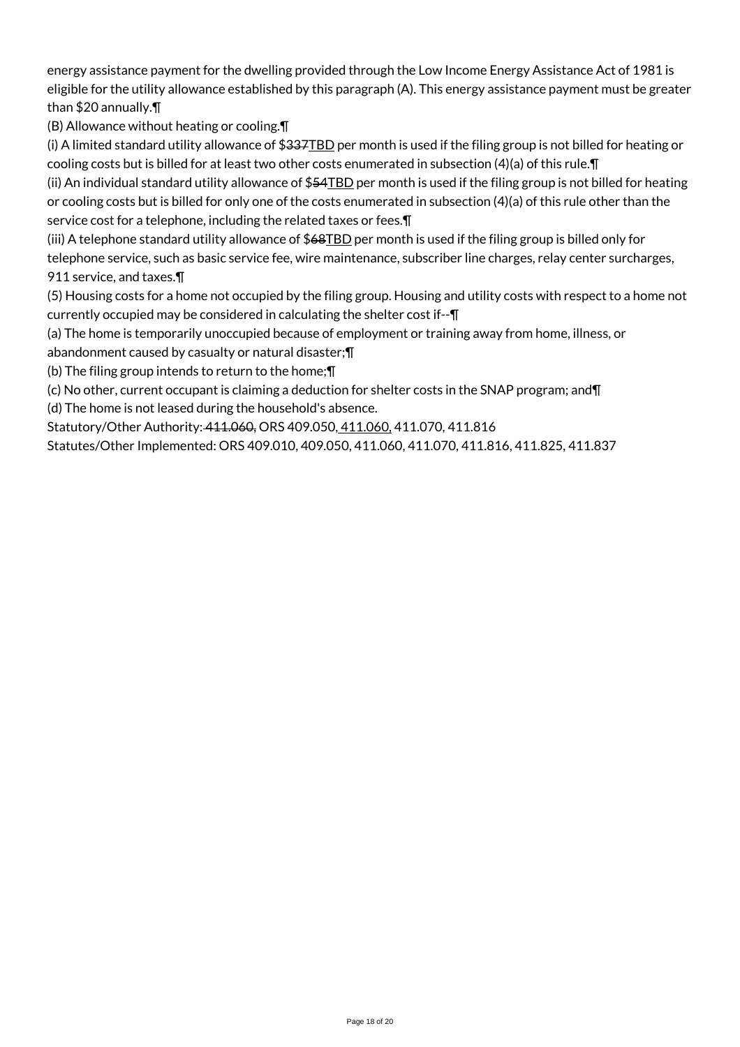energy assistance payment for the dwelling provided through the Low Income Energy Assistance Act of 1981 is eligible for the utility allowance established by this paragraph (A). This energy assistance payment must be greater than \$20 annually.¶

(B) Allowance without heating or cooling.¶

(i) A limited standard utility allowance of  $$337$ TBD per month is used if the filing group is not billed for heating or cooling costs but is billed for at least two other costs enumerated in subsection (4)(a) of this rule.¶

(ii) An individual standard utility allowance of \$54TBD per month is used if the filing group is not billed for heating or cooling costs but is billed for only one of the costs enumerated in subsection (4)(a) of this rule other than the service cost for a telephone, including the related taxes or fees.¶

(iii) A telephone standard utility allowance of \$68TBD per month is used if the filing group is billed only for telephone service, such as basic service fee, wire maintenance, subscriber line charges, relay center surcharges, 911 service, and taxes.¶

(5) Housing costs for a home not occupied by the filing group. Housing and utility costs with respect to a home not currently occupied may be considered in calculating the shelter cost if--¶

(a) The home is temporarily unoccupied because of employment or training away from home, illness, or abandonment caused by casualty or natural disaster;¶

(b) The filing group intends to return to the home;¶

(c) No other, current occupant is claiming a deduction for shelter costs in the SNAP program; and¶

(d) The home is not leased during the household's absence.

Statutory/Other Authority: 411.060, ORS 409.050, 411.060, 411.070, 411.816

Statutes/Other Implemented: ORS 409.010, 409.050, 411.060, 411.070, 411.816, 411.825, 411.837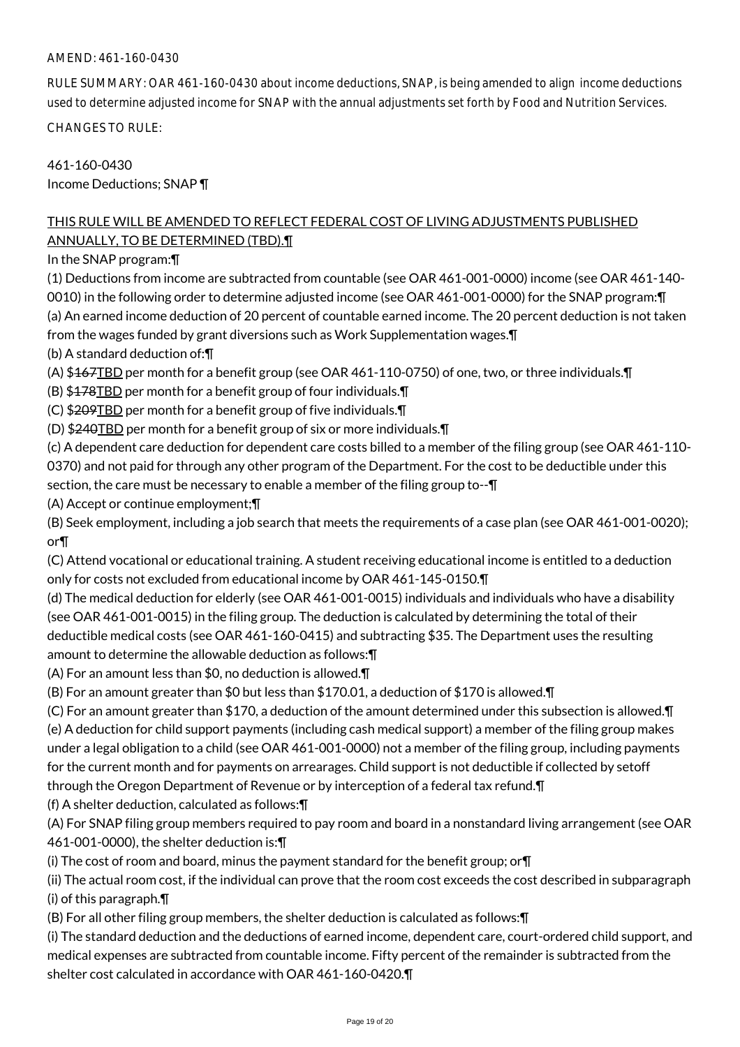# AMEND: 461-160-0430

RULE SUMMARY: OAR 461-160-0430 about income deductions, SNAP, is being amended to align income deductions used to determine adjusted income for SNAP with the annual adjustments set forth by Food and Nutrition Services.

CHANGES TO RULE:

461-160-0430 Income Deductions; SNAP ¶

# THIS RULE WILL BE AMENDED TO REFLECT FEDERAL COST OF LIVING ADJUSTMENTS PUBLISHED ANNUALLY, TO BE DETERMINED (TBD).¶

In the SNAP program:¶

(1) Deductions from income are subtracted from countable (see OAR 461-001-0000) income (see OAR 461-140- 0010) in the following order to determine adjusted income (see OAR 461-001-0000) for the SNAP program:¶ (a) An earned income deduction of 20 percent of countable earned income. The 20 percent deduction is not taken from the wages funded by grant diversions such as Work Supplementation wages.¶

(b) A standard deduction of:¶

(A) \$167TBD per month for a benefit group (see OAR 461-110-0750) of one, two, or three individuals.¶

- (B) \$178TBD per month for a benefit group of four individuals.¶
- (C) \$209TBD per month for a benefit group of five individuals.¶
- (D) \$240TBD per month for a benefit group of six or more individuals.¶

(c) A dependent care deduction for dependent care costs billed to a member of the filing group (see OAR 461-110- 0370) and not paid for through any other program of the Department. For the cost to be deductible under this section, the care must be necessary to enable a member of the filing group to--¶

(A) Accept or continue employment;¶

(B) Seek employment, including a job search that meets the requirements of a case plan (see OAR 461-001-0020); or¶

(C) Attend vocational or educational training. A student receiving educational income is entitled to a deduction only for costs not excluded from educational income by OAR 461-145-0150.¶

(d) The medical deduction for elderly (see OAR 461-001-0015) individuals and individuals who have a disability (see OAR 461-001-0015) in the filing group. The deduction is calculated by determining the total of their deductible medical costs (see OAR 461-160-0415) and subtracting \$35. The Department uses the resulting amount to determine the allowable deduction as follows:¶

(A) For an amount less than \$0, no deduction is allowed.¶

(B) For an amount greater than \$0 but less than \$170.01, a deduction of \$170 is allowed.¶

(C) For an amount greater than \$170, a deduction of the amount determined under this subsection is allowed.¶ (e) A deduction for child support payments (including cash medical support) a member of the filing group makes under a legal obligation to a child (see OAR 461-001-0000) not a member of the filing group, including payments for the current month and for payments on arrearages. Child support is not deductible if collected by setoff through the Oregon Department of Revenue or by interception of a federal tax refund.¶

(f) A shelter deduction, calculated as follows:¶

(A) For SNAP filing group members required to pay room and board in a nonstandard living arrangement (see OAR 461-001-0000), the shelter deduction is:¶

(i) The cost of room and board, minus the payment standard for the benefit group; or¶

(ii) The actual room cost, if the individual can prove that the room cost exceeds the cost described in subparagraph (i) of this paragraph.¶

(B) For all other filing group members, the shelter deduction is calculated as follows:¶

(i) The standard deduction and the deductions of earned income, dependent care, court-ordered child support, and medical expenses are subtracted from countable income. Fifty percent of the remainder is subtracted from the shelter cost calculated in accordance with OAR 461-160-0420.¶